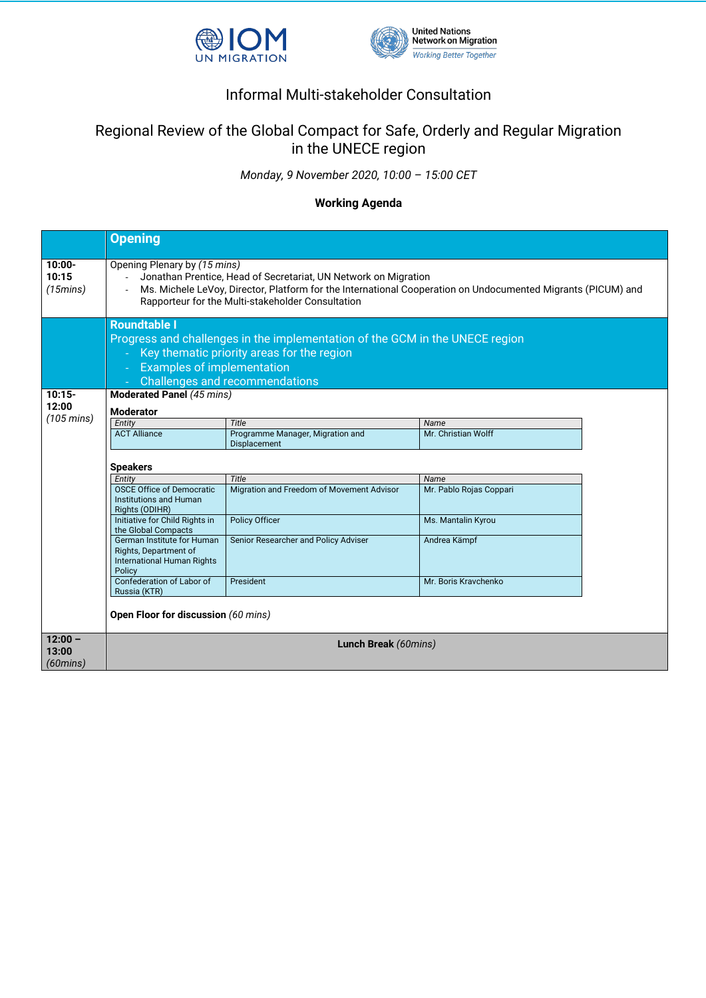



## Informal Multi-stakeholder Consultation

## Regional Review of the Global Compact for Safe, Orderly and Regular Migration in the UNECE region

*Monday, 9 November 2020, 10:00 – 15:00 CET*

## **Working Agenda**

|                            | <b>Opening</b>                                                                                                                                                                                                                                                       |                                                  |                         |  |  |  |
|----------------------------|----------------------------------------------------------------------------------------------------------------------------------------------------------------------------------------------------------------------------------------------------------------------|--------------------------------------------------|-------------------------|--|--|--|
| $10:00 -$<br>10:15<br>(15) | Opening Plenary by (15 mins)<br>Jonathan Prentice, Head of Secretariat, UN Network on Migration<br>Ms. Michele LeVoy, Director, Platform for the International Cooperation on Undocumented Migrants (PICUM) and<br>Rapporteur for the Multi-stakeholder Consultation |                                                  |                         |  |  |  |
|                            | <b>Roundtable I</b><br>Progress and challenges in the implementation of the GCM in the UNECE region<br>Key thematic priority areas for the region<br>$\omega$<br><b>Examples of implementation</b><br>$\omega$<br><b>Challenges and recommendations</b>              |                                                  |                         |  |  |  |
| $10:15 -$<br>12:00         | <b>Moderated Panel (45 mins)</b>                                                                                                                                                                                                                                     |                                                  |                         |  |  |  |
| $(105 \text{ mins})$       | <b>Moderator</b>                                                                                                                                                                                                                                                     |                                                  |                         |  |  |  |
|                            | Entity                                                                                                                                                                                                                                                               | Title                                            | Name                    |  |  |  |
|                            | <b>ACT Alliance</b>                                                                                                                                                                                                                                                  | Programme Manager, Migration and<br>Displacement | Mr. Christian Wolff     |  |  |  |
|                            |                                                                                                                                                                                                                                                                      |                                                  |                         |  |  |  |
|                            | <b>Speakers</b>                                                                                                                                                                                                                                                      |                                                  |                         |  |  |  |
|                            | Entity                                                                                                                                                                                                                                                               | Title                                            | Name                    |  |  |  |
|                            | <b>OSCE Office of Democratic</b><br><b>Institutions and Human</b><br>Rights (ODIHR)                                                                                                                                                                                  | Migration and Freedom of Movement Advisor        | Mr. Pablo Rojas Coppari |  |  |  |
|                            | Initiative for Child Rights in<br>the Global Compacts                                                                                                                                                                                                                | <b>Policy Officer</b>                            | Ms. Mantalin Kyrou      |  |  |  |
|                            | German Institute for Human<br>Rights, Department of<br>International Human Rights<br>Policy                                                                                                                                                                          | Senior Researcher and Policy Adviser             | Andrea Kämpf            |  |  |  |
|                            | Confederation of Labor of<br>Russia (KTR)                                                                                                                                                                                                                            | President                                        | Mr. Boris Kravchenko    |  |  |  |
|                            | Open Floor for discussion (60 mins)                                                                                                                                                                                                                                  |                                                  |                         |  |  |  |
| $12:00 -$                  | Lunch Break (60mins)                                                                                                                                                                                                                                                 |                                                  |                         |  |  |  |
| 13:00                      |                                                                                                                                                                                                                                                                      |                                                  |                         |  |  |  |
| $(60 \text{mins})$         |                                                                                                                                                                                                                                                                      |                                                  |                         |  |  |  |